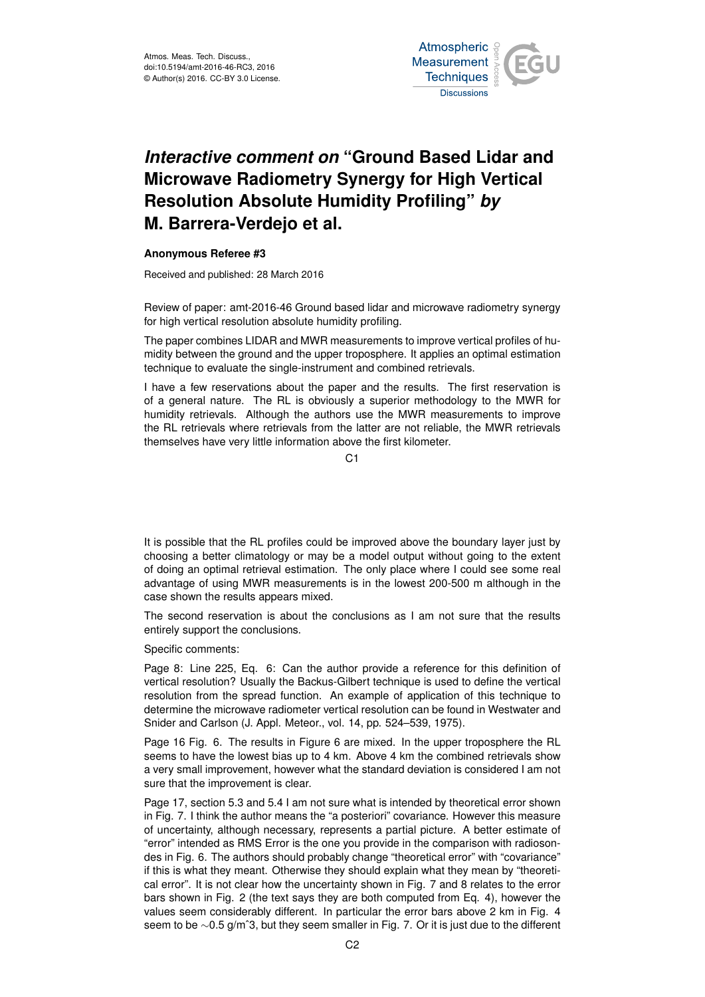

## *Interactive comment on* **"Ground Based Lidar and Microwave Radiometry Synergy for High Vertical Resolution Absolute Humidity Profiling"** *by* **M. Barrera-Verdejo et al.**

## **Anonymous Referee #3**

Received and published: 28 March 2016

Review of paper: amt-2016-46 Ground based lidar and microwave radiometry synergy for high vertical resolution absolute humidity profiling.

The paper combines LIDAR and MWR measurements to improve vertical profiles of humidity between the ground and the upper troposphere. It applies an optimal estimation technique to evaluate the single-instrument and combined retrievals.

I have a few reservations about the paper and the results. The first reservation is of a general nature. The RL is obviously a superior methodology to the MWR for humidity retrievals. Although the authors use the MWR measurements to improve the RL retrievals where retrievals from the latter are not reliable, the MWR retrievals themselves have very little information above the first kilometer.

 $C<sub>1</sub>$ 

It is possible that the RL profiles could be improved above the boundary layer just by choosing a better climatology or may be a model output without going to the extent of doing an optimal retrieval estimation. The only place where I could see some real advantage of using MWR measurements is in the lowest 200-500 m although in the case shown the results appears mixed.

The second reservation is about the conclusions as I am not sure that the results entirely support the conclusions.

Specific comments:

Page 8: Line 225, Eq. 6: Can the author provide a reference for this definition of vertical resolution? Usually the Backus-Gilbert technique is used to define the vertical resolution from the spread function. An example of application of this technique to determine the microwave radiometer vertical resolution can be found in Westwater and Snider and Carlson (J. Appl. Meteor., vol. 14, pp. 524–539, 1975).

Page 16 Fig. 6. The results in Figure 6 are mixed. In the upper troposphere the RL seems to have the lowest bias up to 4 km. Above 4 km the combined retrievals show a very small improvement, however what the standard deviation is considered I am not sure that the improvement is clear.

Page 17, section 5.3 and 5.4 I am not sure what is intended by theoretical error shown in Fig. 7. I think the author means the "a posteriori" covariance. However this measure of uncertainty, although necessary, represents a partial picture. A better estimate of "error" intended as RMS Error is the one you provide in the comparison with radiosondes in Fig. 6. The authors should probably change "theoretical error" with "covariance" if this is what they meant. Otherwise they should explain what they mean by "theoretical error". It is not clear how the uncertainty shown in Fig. 7 and 8 relates to the error bars shown in Fig. 2 (the text says they are both computed from Eq. 4), however the values seem considerably different. In particular the error bars above 2 km in Fig. 4 seem to be ∼0.5 g/m<sup>o</sup>3, but they seem smaller in Fig. 7. Or it is just due to the different